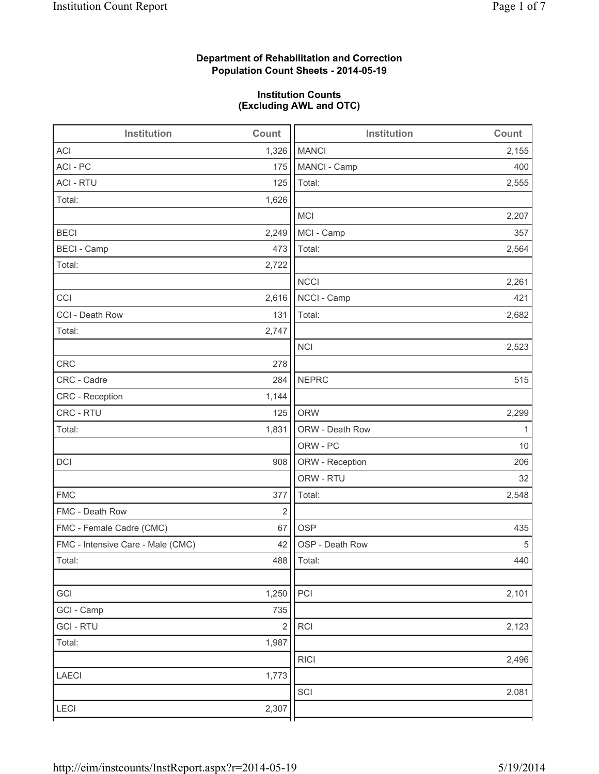## **Department of Rehabilitation and Correction Population Count Sheets - 2014-05-19**

## **Institution Counts (Excluding AWL and OTC)**

| Institution                       | Count          | Institution     | Count |
|-----------------------------------|----------------|-----------------|-------|
| <b>ACI</b>                        | 1,326          | <b>MANCI</b>    | 2,155 |
| ACI - PC                          | 175            | MANCI - Camp    | 400   |
| <b>ACI - RTU</b>                  | 125            | Total:          | 2,555 |
| Total:                            | 1,626          |                 |       |
|                                   |                | MCI             | 2,207 |
| <b>BECI</b>                       | 2,249          | MCI - Camp      | 357   |
| <b>BECI</b> - Camp                | 473            | Total:          | 2,564 |
| Total:                            | 2,722          |                 |       |
|                                   |                | <b>NCCI</b>     | 2,261 |
| CCI                               | 2,616          | NCCI - Camp     | 421   |
| CCI - Death Row                   | 131            | Total:          | 2,682 |
| Total:                            | 2,747          |                 |       |
|                                   |                | <b>NCI</b>      | 2,523 |
| <b>CRC</b>                        | 278            |                 |       |
| CRC - Cadre                       | 284            | <b>NEPRC</b>    | 515   |
| CRC - Reception                   | 1,144          |                 |       |
| CRC - RTU                         | 125            | <b>ORW</b>      | 2,299 |
| Total:                            | 1,831          | ORW - Death Row | 1     |
|                                   |                | ORW - PC        | 10    |
| DCI                               | 908            | ORW - Reception | 206   |
|                                   |                | ORW - RTU       | 32    |
| <b>FMC</b>                        | 377            | Total:          | 2,548 |
| FMC - Death Row                   | $\overline{2}$ |                 |       |
| FMC - Female Cadre (CMC)          | 67             | <b>OSP</b>      | 435   |
| FMC - Intensive Care - Male (CMC) | 42             | OSP - Death Row | 5     |
| Total:                            |                | 488   Total:    | 440   |
|                                   |                |                 |       |
| GCI                               | 1,250          | PCI             | 2,101 |
| GCI - Camp                        | 735            |                 |       |
| <b>GCI-RTU</b>                    | $\sqrt{2}$     | <b>RCI</b>      | 2,123 |
| Total:                            | 1,987          |                 |       |
|                                   |                | <b>RICI</b>     | 2,496 |
| <b>LAECI</b>                      | 1,773          |                 |       |
|                                   |                | SCI             | 2,081 |
| LECI                              | 2,307          |                 |       |
|                                   |                |                 |       |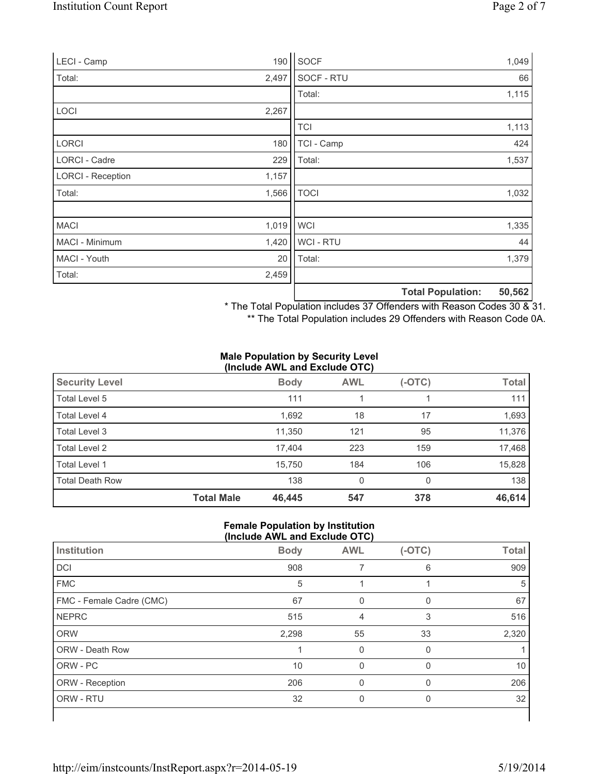| LECI - Camp              | 190   | SOCF        |                          | 1,049  |
|--------------------------|-------|-------------|--------------------------|--------|
| Total:                   | 2,497 | SOCF - RTU  |                          | 66     |
|                          |       | Total:      |                          | 1,115  |
| <b>LOCI</b>              | 2,267 |             |                          |        |
|                          |       | <b>TCI</b>  |                          | 1,113  |
| <b>LORCI</b>             | 180   | TCI - Camp  |                          | 424    |
| LORCI - Cadre            | 229   | Total:      |                          | 1,537  |
| <b>LORCI - Reception</b> | 1,157 |             |                          |        |
| Total:                   | 1,566 | <b>TOCI</b> |                          | 1,032  |
|                          |       |             |                          |        |
| <b>MACI</b>              | 1,019 | <b>WCI</b>  |                          | 1,335  |
| MACI - Minimum           | 1,420 | WCI - RTU   |                          | 44     |
| MACI - Youth             | 20    | Total:      |                          | 1,379  |
| Total:                   | 2,459 |             |                          |        |
|                          |       |             | <b>Total Population:</b> | 50,562 |

\* The Total Population includes 37 Offenders with Reason Codes 30 & 31.

\*\* The Total Population includes 29 Offenders with Reason Code 0A.

#### **Male Population by Security Level (Include AWL and Exclude OTC)**

| <b>Security Level</b>  |                   | <b>Body</b> | <b>AWL</b> | $(-OTC)$ | <b>Total</b> |
|------------------------|-------------------|-------------|------------|----------|--------------|
| Total Level 5          |                   | 111         |            |          | 111          |
| Total Level 4          |                   | 1,692       | 18         | 17       | 1,693        |
| Total Level 3          |                   | 11,350      | 121        | 95       | 11,376       |
| Total Level 2          |                   | 17,404      | 223        | 159      | 17,468       |
| Total Level 1          |                   | 15,750      | 184        | 106      | 15,828       |
| <b>Total Death Row</b> |                   | 138         | 0          | 0        | 138          |
|                        | <b>Total Male</b> | 46,445      | 547        | 378      | 46,614       |

## **Female Population by Institution (Include AWL and Exclude OTC)**

| Institution              | <b>Body</b> | <b>AWL</b> | $(-OTC)$ | <b>Total</b> |
|--------------------------|-------------|------------|----------|--------------|
| DCI                      | 908         |            | 6        | 909          |
| <b>FMC</b>               | 5           |            |          | 5            |
| FMC - Female Cadre (CMC) | 67          |            |          | 67           |
| <b>NEPRC</b>             | 515         | 4          | 3        | 516          |
| <b>ORW</b>               | 2,298       | 55         | 33       | 2,320        |
| <b>ORW - Death Row</b>   |             | 0          | $\Omega$ |              |
| ORW - PC                 | 10          | $\Omega$   | $\Omega$ | 10           |
| ORW - Reception          | 206         | 0          | $\Omega$ | 206          |
| ORW - RTU                | 32          | 0          | 0        | 32           |
|                          |             |            |          |              |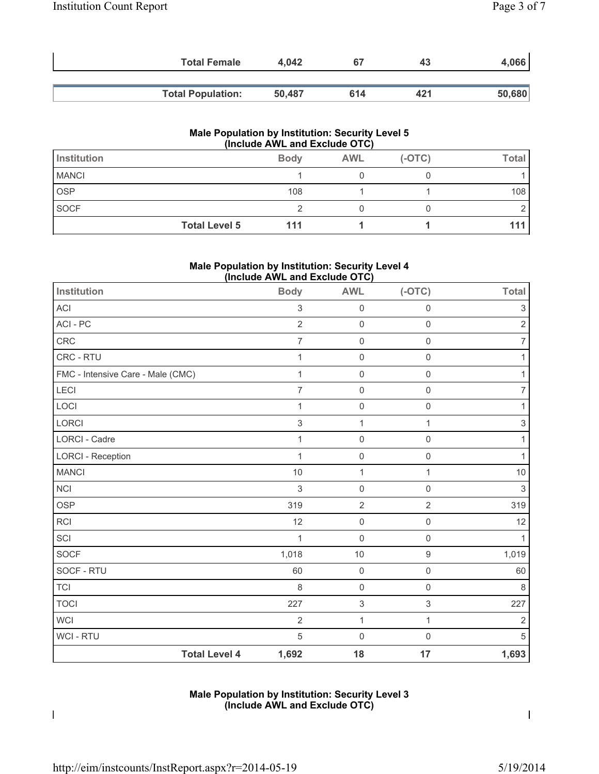| <b>Total Female</b>      | 4.042  | 67  | 43  | 4,066  |
|--------------------------|--------|-----|-----|--------|
|                          |        |     |     |        |
| <b>Total Population:</b> | 50.487 | 614 | 421 | 50,680 |

#### **Male Population by Institution: Security Level 5 (Include AWL and Exclude OTC)**

| Institution  |                      | <b>Body</b> | <b>AWL</b> | $(-OTC)$ | Total |
|--------------|----------------------|-------------|------------|----------|-------|
| <b>MANCI</b> |                      |             |            |          |       |
| <b>OSP</b>   |                      | 108         |            |          | 108   |
| SOCF         |                      |             |            |          |       |
|              | <b>Total Level 5</b> | 111         |            |          |       |

## **Male Population by Institution: Security Level 4 (Include AWL and Exclude OTC)**

| Institution                       | <b>Body</b>    | <b>AWL</b>                | $(-OTC)$            | <b>Total</b>              |
|-----------------------------------|----------------|---------------------------|---------------------|---------------------------|
| <b>ACI</b>                        | 3              | $\mathsf{O}\xspace$       | $\mathsf{O}\xspace$ | 3                         |
| ACI - PC                          | $\overline{2}$ | $\mathsf 0$               | $\mathbf 0$         | $\overline{2}$            |
| CRC                               | $\overline{7}$ | $\mathsf{O}\xspace$       | $\mathsf 0$         | $\overline{7}$            |
| CRC - RTU                         | 1              | $\mathsf{O}\xspace$       | $\mathbf 0$         | 1                         |
| FMC - Intensive Care - Male (CMC) | $\mathbf{1}$   | $\mathsf 0$               | $\mathsf 0$         | 1                         |
| LECI                              | 7              | $\mathsf{O}\xspace$       | $\mathbf 0$         | 7                         |
| LOCI                              | 1              | $\mathsf 0$               | $\mathbf 0$         | 1                         |
| LORCI                             | 3              | $\mathbf{1}$              | 1                   | $\ensuremath{\mathsf{3}}$ |
| <b>LORCI - Cadre</b>              | 1              | $\mathsf{O}\xspace$       | $\mathbf 0$         | 1                         |
| <b>LORCI - Reception</b>          | $\mathbf{1}$   | $\mathsf 0$               | $\mathsf 0$         | 1                         |
| <b>MANCI</b>                      | 10             | $\mathbf{1}$              | 1                   | $10$                      |
| <b>NCI</b>                        | 3              | $\mathsf{O}\xspace$       | $\mathbf 0$         | $\ensuremath{\mathsf{3}}$ |
| <b>OSP</b>                        | 319            | $\sqrt{2}$                | $\sqrt{2}$          | 319                       |
| <b>RCI</b>                        | 12             | $\mathsf{O}\xspace$       | $\mathbf 0$         | 12                        |
| SCI                               | $\mathbf 1$    | $\mathsf{O}\xspace$       | $\mathsf 0$         |                           |
| SOCF                              | 1,018          | 10                        | $\boldsymbol{9}$    | 1,019                     |
| SOCF - RTU                        | 60             | $\mathsf{O}\xspace$       | $\mathbf 0$         | 60                        |
| <b>TCI</b>                        | 8              | $\mathsf 0$               | $\mathsf 0$         | 8                         |
| <b>TOCI</b>                       | 227            | $\ensuremath{\mathsf{3}}$ | $\sqrt{3}$          | 227                       |
| <b>WCI</b>                        | $\overline{2}$ | 1                         | 1                   | 2                         |
| WCI - RTU                         | 5              | $\mathsf{O}\xspace$       | $\mathsf{O}\xspace$ | $\sqrt{5}$                |
| <b>Total Level 4</b>              | 1,692          | 18                        | 17                  | 1,693                     |

## **Male Population by Institution: Security Level 3 (Include AWL and Exclude OTC)**

 $\overline{\phantom{a}}$ 

 $\overline{\phantom{a}}$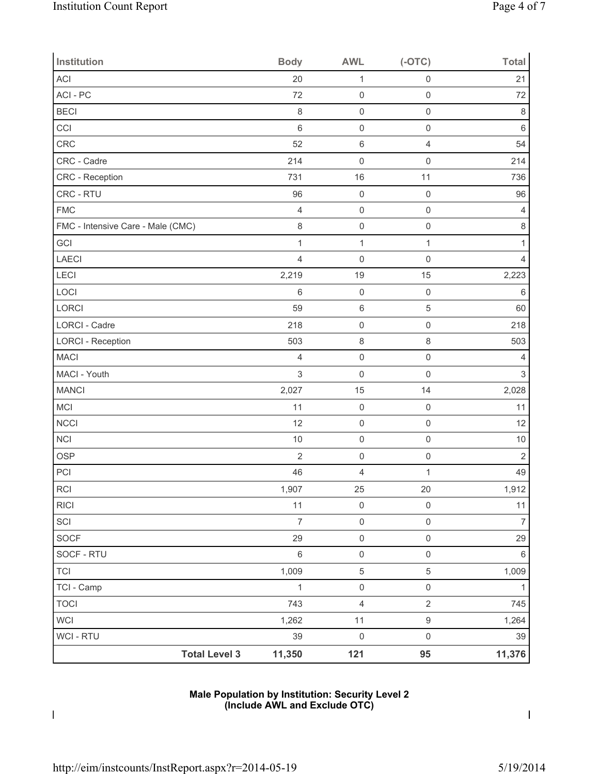| <b>Institution</b>                | <b>Body</b>    | <b>AWL</b>              | $(-OTC)$            | <b>Total</b>              |
|-----------------------------------|----------------|-------------------------|---------------------|---------------------------|
| <b>ACI</b>                        | 20             | $\mathbf 1$             | $\mathsf 0$         | 21                        |
| ACI-PC                            | 72             | $\mathsf{O}\xspace$     | $\mathsf{O}\xspace$ | 72                        |
| <b>BECI</b>                       | 8              | $\mathsf{O}\xspace$     | $\mathsf{O}\xspace$ | 8                         |
| CCI                               | $\,6$          | $\mathsf{O}\xspace$     | $\mathbf 0$         | $\,6\,$                   |
| CRC                               | 52             | 6                       | $\overline{4}$      | 54                        |
| CRC - Cadre                       | 214            | $\mathsf{O}\xspace$     | $\mathbf 0$         | 214                       |
| CRC - Reception                   | 731            | 16                      | 11                  | 736                       |
| CRC - RTU                         | 96             | $\mathsf{O}\xspace$     | $\mathbf 0$         | 96                        |
| <b>FMC</b>                        | $\overline{4}$ | $\mathsf{O}\xspace$     | $\mathbf 0$         | 4                         |
| FMC - Intensive Care - Male (CMC) | $\,8\,$        | $\mathsf{O}\xspace$     | $\mathbf 0$         | $\,8\,$                   |
| GCI                               | $\mathbf{1}$   | $\mathbf 1$             | $\mathbf{1}$        | 1                         |
| LAECI                             | 4              | $\mathsf{O}\xspace$     | 0                   | 4                         |
| LECI                              | 2,219          | 19                      | 15                  | 2,223                     |
| LOCI                              | 6              | $\boldsymbol{0}$        | $\mathbf 0$         | $\,6\,$                   |
| LORCI                             | 59             | 6                       | 5                   | 60                        |
| <b>LORCI - Cadre</b>              | 218            | $\boldsymbol{0}$        | $\mathbf 0$         | 218                       |
| <b>LORCI - Reception</b>          | 503            | 8                       | $\,8\,$             | 503                       |
| <b>MACI</b>                       | $\overline{4}$ | $\mathsf{O}\xspace$     | $\mathbf 0$         | $\overline{4}$            |
| MACI - Youth                      | $\sqrt{3}$     | $\mathsf 0$             | $\mathbf 0$         | $\ensuremath{\mathsf{3}}$ |
| <b>MANCI</b>                      | 2,027          | 15                      | 14                  | 2,028                     |
| MCI                               | 11             | $\mathbf 0$             | $\mathbf 0$         | 11                        |
| <b>NCCI</b>                       | 12             | $\mathsf 0$             | $\mathsf{O}\xspace$ | 12                        |
| NCI                               | 10             | $\mathsf{O}\xspace$     | $\mathbf 0$         | 10                        |
| OSP                               | $\sqrt{2}$     | $\mathsf{O}\xspace$     | $\mathbf 0$         | $\overline{2}$            |
| PCI                               | 46             | 4                       | $\mathbf 1$         | 49                        |
| $\sf RCI$                         | 1,907          | 25                      | 20                  | 1,912                     |
| <b>RICI</b>                       | 11             | $\mathsf{O}\xspace$     | $\mathsf{O}\xspace$ | 11                        |
| SCI                               | $\overline{7}$ | $\mathsf{O}\xspace$     | $\mathsf{O}\xspace$ | $\overline{7}$            |
| SOCF                              | 29             | $\mathsf{O}\xspace$     | $\mathbf 0$         | 29                        |
| SOCF - RTU                        | $\,6\,$        | $\mathsf{O}\xspace$     | $\mathsf{O}\xspace$ | $\,6\,$                   |
| <b>TCI</b>                        | 1,009          | $\,$ 5 $\,$             | $\mathbf 5$         | 1,009                     |
| TCI - Camp                        | $\mathbf{1}$   | $\mathsf{O}\xspace$     | $\mathsf{O}\xspace$ | 1                         |
| <b>TOCI</b>                       | 743            | $\overline{\mathbf{4}}$ | $\sqrt{2}$          | 745                       |
| WCI                               | 1,262          | $11$                    | $\boldsymbol{9}$    | 1,264                     |
| WCI - RTU                         | 39             | $\mathsf{O}\xspace$     | $\mathsf{O}\xspace$ | 39                        |
| <b>Total Level 3</b>              | 11,350         | 121                     | 95                  | 11,376                    |

## **Male Population by Institution: Security Level 2 (Include AWL and Exclude OTC)**

 $\mathbf I$ 

 $\mathbf I$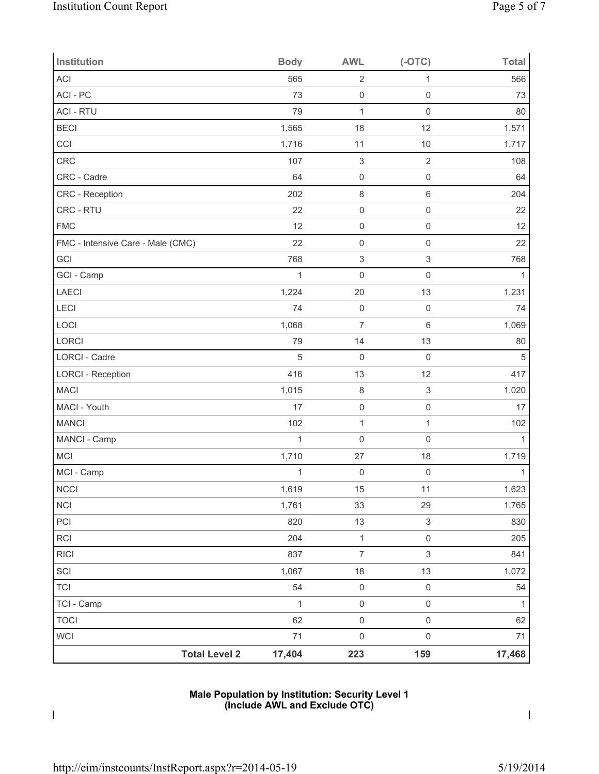| Institution                       | <b>Body</b>    | <b>AWL</b>                | $(-OTC)$                  | <b>Total</b> |
|-----------------------------------|----------------|---------------------------|---------------------------|--------------|
| <b>ACI</b>                        | 565            | $\overline{2}$            | 1                         | 566          |
| ACI - PC                          | 73             | $\mathsf{O}\xspace$       | $\mathsf{O}\xspace$       | 73           |
| <b>ACI - RTU</b>                  | 79             | $\mathbf{1}$              | $\mathbf 0$               | 80           |
| <b>BECI</b>                       | 1,565          | 18                        | 12                        | 1,571        |
| CCI                               | 1,716          | 11                        | 10                        | 1,717        |
| <b>CRC</b>                        | 107            | $\ensuremath{\mathsf{3}}$ | $\sqrt{2}$                | 108          |
| CRC - Cadre                       | 64             | $\mathsf{O}\xspace$       | $\mathsf{O}\xspace$       | 64           |
| CRC - Reception                   | 202            | $\,8\,$                   | $\,6\,$                   | 204          |
| CRC - RTU                         | 22             | $\mathsf{O}\xspace$       | $\mathsf{O}\xspace$       | 22           |
| <b>FMC</b>                        | 12             | $\mathsf{O}\xspace$       | $\mathsf{O}\xspace$       | 12           |
| FMC - Intensive Care - Male (CMC) | 22             | $\mathsf 0$               | $\mathsf{O}\xspace$       | 22           |
| GCI                               | 768            | $\ensuremath{\mathsf{3}}$ | $\ensuremath{\mathsf{3}}$ | 768          |
| GCI - Camp                        | $\mathbf{1}$   | $\mathsf{O}\xspace$       | $\mathsf{O}\xspace$       | $\mathbf{1}$ |
| LAECI                             | 1,224          | 20                        | 13                        | 1,231        |
| LECI                              | 74             | $\mathsf{O}\xspace$       | $\mathbf 0$               | 74           |
| LOCI                              | 1,068          | $\overline{7}$            | $\,6$                     | 1,069        |
| LORCI                             | 79             | 14                        | 13                        | 80           |
| LORCI - Cadre                     | 5              | $\mathsf{O}\xspace$       | $\mathbf 0$               | 5            |
| <b>LORCI - Reception</b>          | 416            | 13                        | 12                        | 417          |
| <b>MACI</b>                       | 1,015          | $\,8\,$                   | $\ensuremath{\mathsf{3}}$ | 1,020        |
| MACI - Youth                      | 17             | $\mathsf 0$               | $\mathsf{O}\xspace$       | 17           |
| <b>MANCI</b>                      | 102            | $\mathbf{1}$              | $\mathbf{1}$              | 102          |
| MANCI - Camp                      | $\overline{1}$ | $\mathsf 0$               | $\mathbf 0$               | $\mathbf{1}$ |
| MCI                               | 1,710          | 27                        | 18                        | 1,719        |
| MCI - Camp                        | 1              | $\mathsf{O}\xspace$       | $\mathsf 0$               | $\mathbf{1}$ |
| NCCI                              | 1,619          | 15                        | 11                        | 1,623        |
| NCI                               | 1,761          | 33                        | 29                        | 1,765        |
| PCI                               | 820            | 13                        | $\ensuremath{\mathsf{3}}$ | 830          |
| RCI                               | 204            | $\mathbf{1}$              | $\mathsf{O}\xspace$       | 205          |
| <b>RICI</b>                       | 837            | $\overline{7}$            | $\mathfrak{S}$            | 841          |
| SCI                               | 1,067          | 18                        | 13                        | 1,072        |
| <b>TCI</b>                        | 54             | $\mathsf{O}\xspace$       | $\mathsf 0$               | 54           |
| TCI - Camp                        | $\mathbf{1}$   | $\mathsf{O}\xspace$       | $\mathsf 0$               | $\mathbf{1}$ |
| <b>TOCI</b>                       | 62             | $\mathsf{O}\xspace$       | $\mathsf 0$               | 62           |
| <b>WCI</b>                        | 71             | $\mathsf 0$               | $\mathsf 0$               | 71           |
| <b>Total Level 2</b>              | 17,404         | 223                       | 159                       | 17,468       |

## **Male Population by Institution: Security Level 1 (Include AWL and Exclude OTC)**

 $\mathbf I$ 

 $\mathsf I$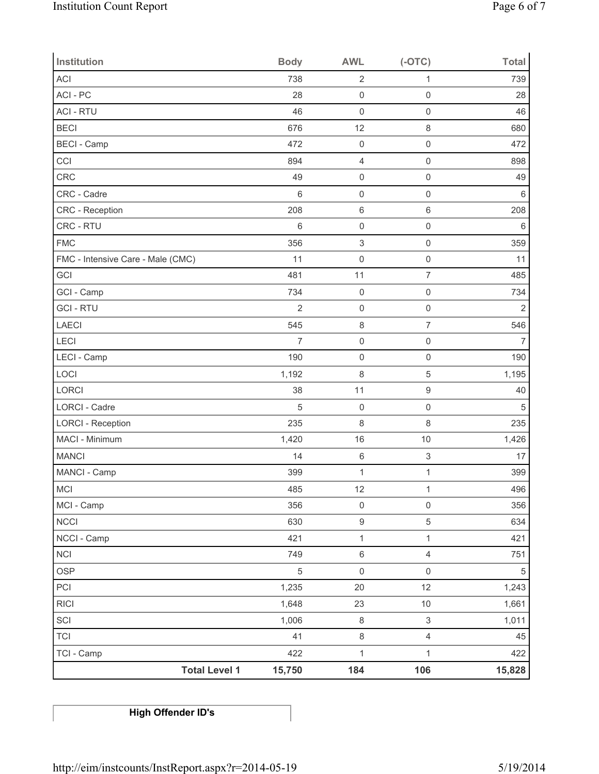| Institution                       | <b>Body</b>     | <b>AWL</b>                | $(-OTC)$                  | <b>Total</b>   |
|-----------------------------------|-----------------|---------------------------|---------------------------|----------------|
| <b>ACI</b>                        | 738             | $\sqrt{2}$                | 1                         | 739            |
| ACI - PC                          | 28              | $\mathsf{O}\xspace$       | $\mathsf{O}\xspace$       | 28             |
| <b>ACI - RTU</b>                  | 46              | $\mathsf{O}\xspace$       | $\mathsf{O}\xspace$       | 46             |
| <b>BECI</b>                       | 676             | 12                        | 8                         | 680            |
| <b>BECI</b> - Camp                | 472             | $\mathsf{O}\xspace$       | $\mathsf{O}\xspace$       | 472            |
| CCI                               | 894             | $\overline{4}$            | $\mathbf 0$               | 898            |
| CRC                               | 49              | $\mathsf{O}\xspace$       | $\mathsf{O}\xspace$       | 49             |
| CRC - Cadre                       | $6\phantom{1}6$ | $\mathsf{O}\xspace$       | $\mathsf{O}\xspace$       | $\,6$          |
| CRC - Reception                   | 208             | $\,6\,$                   | 6                         | 208            |
| CRC - RTU                         | 6               | $\mathsf 0$               | $\mathsf{O}\xspace$       | $\,6$          |
| <b>FMC</b>                        | 356             | $\ensuremath{\mathsf{3}}$ | $\mathsf{O}\xspace$       | 359            |
| FMC - Intensive Care - Male (CMC) | 11              | $\mathsf{O}\xspace$       | $\mathbf 0$               | 11             |
| GCI                               | 481             | 11                        | $\overline{7}$            | 485            |
| GCI - Camp                        | 734             | $\mathsf{O}\xspace$       | $\mathsf{O}\xspace$       | 734            |
| <b>GCI-RTU</b>                    | $\overline{2}$  | $\mathsf{O}\xspace$       | $\mathsf{O}\xspace$       | $\overline{2}$ |
| LAECI                             | 545             | $\,8\,$                   | $\overline{7}$            | 546            |
| LECI                              | $\overline{7}$  | $\mathsf{O}\xspace$       | 0                         | 7              |
| LECI - Camp                       | 190             | $\mathsf{O}\xspace$       | $\mathbf 0$               | 190            |
| LOCI                              | 1,192           | 8                         | 5                         | 1,195          |
| LORCI                             | 38              | 11                        | 9                         | 40             |
| LORCI - Cadre                     | 5               | $\mathsf 0$               | $\mathsf{O}\xspace$       | 5              |
| <b>LORCI - Reception</b>          | 235             | 8                         | 8                         | 235            |
| MACI - Minimum                    | 1,420           | 16                        | 10                        | 1,426          |
| <b>MANCI</b>                      | 14              | $\,6\,$                   | 3                         | 17             |
| MANCI - Camp                      | 399             | $\mathbf 1$               | $\mathbf 1$               | 399            |
| MCI                               | 485             | 12                        | 1                         | 496            |
| MCI - Camp                        | 356             | $\mathsf{O}\xspace$       | $\mathsf{O}\xspace$       | 356            |
| <b>NCCI</b>                       | 630             | $\boldsymbol{9}$          | 5                         | 634            |
| NCCI - Camp                       | 421             | $\mathbf{1}$              | $\mathbf{1}$              | 421            |
| <b>NCI</b>                        | 749             | $\,6\,$                   | $\overline{4}$            | 751            |
| <b>OSP</b>                        | $\,$ 5 $\,$     | $\mathsf{O}\xspace$       | $\mathsf{O}\xspace$       | $\,$ 5 $\,$    |
| PCI                               | 1,235           | 20                        | 12                        | 1,243          |
| R C                               | 1,648           | 23                        | $10$                      | 1,661          |
| SCI                               | 1,006           | $\,8\,$                   | $\ensuremath{\mathsf{3}}$ | 1,011          |
| <b>TCI</b>                        | 41              | $\,8\,$                   | 4                         | 45             |
| TCI - Camp                        | 422             | $\mathbf 1$               | $\mathbf 1$               | 422            |
| <b>Total Level 1</b>              | 15,750          | 184                       | 106                       | 15,828         |

# **High Offender ID's**